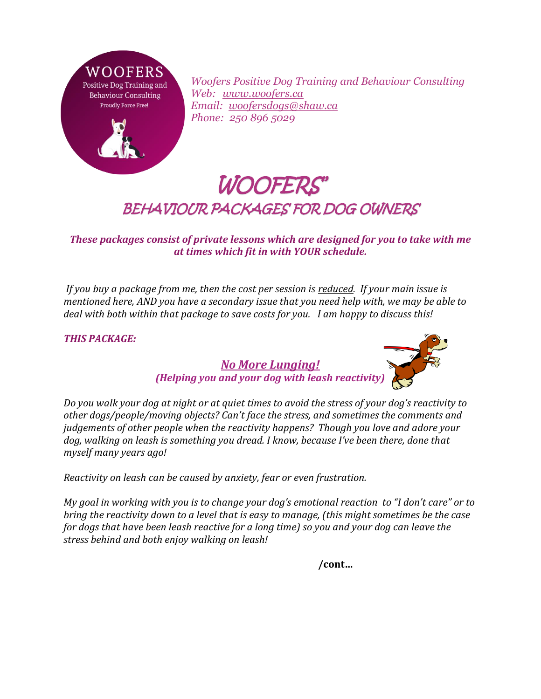

*Woofers Positive Dog Training and Behaviour Consulting Web: [www.woofers.ca](http://www.woofers.ca/) Email: [woofersdogs@shaw.ca](mailto:woofersdogs@shaw.ca) Phone: 250 896 5029*

## WOOFERS' BEHAVIOUR PACKAGES FOR DOG OWNERS

*These packages consist of private lessons which are designed for you to take with me at times which fit in with YOUR schedule.*

*If you buy a package from me, then the cost per session is reduced. If your main issue is mentioned here, AND you have a secondary issue that you need help with, we may be able to deal with both within that package to save costs for you. I am happy to discuss this!* 

## *THIS PACKAGE:*



*No More Lunging! (Helping you and your dog with leash reactivity)*

*Do you walk your dog at night or at quiet times to avoid the stress of your dog's reactivity to other dogs/people/moving objects? Can't face the stress, and sometimes the comments and judgements of other people when the reactivity happens? Though you love and adore your dog, walking on leash is something you dread. I know, because I've been there, done that myself many years ago!* 

*Reactivity on leash can be caused by anxiety, fear or even frustration.*

*My goal in working with you is to change your dog's emotional reaction to "I don't care" or to bring the reactivity down to a level that is easy to manage, (this might sometimes be the case for dogs that have been leash reactive for a long time) so you and your dog can leave the stress behind and both enjoy walking on leash!*

**/cont…**